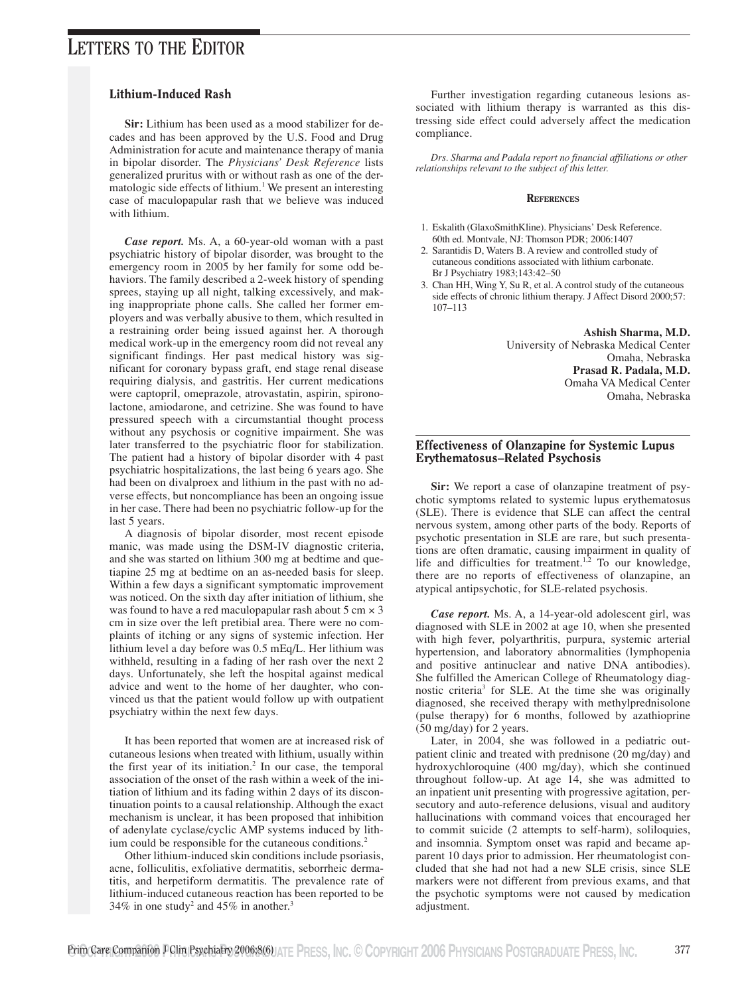## Lithium-Induced Rash

**Sir:** Lithium has been used as a mood stabilizer for decades and has been approved by the U.S. Food and Drug Administration for acute and maintenance therapy of mania in bipolar disorder. The *Physicians' Desk Reference* lists generalized pruritus with or without rash as one of the dermatologic side effects of lithium.<sup>1</sup> We present an interesting case of maculopapular rash that we believe was induced with lithium.

*Case report.* Ms. A, a 60-year-old woman with a past psychiatric history of bipolar disorder, was brought to the emergency room in 2005 by her family for some odd behaviors. The family described a 2-week history of spending sprees, staying up all night, talking excessively, and making inappropriate phone calls. She called her former employers and was verbally abusive to them, which resulted in a restraining order being issued against her. A thorough medical work-up in the emergency room did not reveal any significant findings. Her past medical history was significant for coronary bypass graft, end stage renal disease requiring dialysis, and gastritis. Her current medications were captopril, omeprazole, atrovastatin, aspirin, spironolactone, amiodarone, and cetrizine. She was found to have pressured speech with a circumstantial thought process without any psychosis or cognitive impairment. She was later transferred to the psychiatric floor for stabilization. The patient had a history of bipolar disorder with 4 past psychiatric hospitalizations, the last being 6 years ago. She had been on divalproex and lithium in the past with no adverse effects, but noncompliance has been an ongoing issue in her case. There had been no psychiatric follow-up for the last 5 years.

A diagnosis of bipolar disorder, most recent episode manic, was made using the DSM-IV diagnostic criteria, and she was started on lithium 300 mg at bedtime and quetiapine 25 mg at bedtime on an as-needed basis for sleep. Within a few days a significant symptomatic improvement was noticed. On the sixth day after initiation of lithium, she was found to have a red maculopapular rash about  $5 \text{ cm} \times 3$ cm in size over the left pretibial area. There were no complaints of itching or any signs of systemic infection. Her lithium level a day before was 0.5 mEq/L. Her lithium was withheld, resulting in a fading of her rash over the next 2 days. Unfortunately, she left the hospital against medical advice and went to the home of her daughter, who convinced us that the patient would follow up with outpatient psychiatry within the next few days.

It has been reported that women are at increased risk of cutaneous lesions when treated with lithium, usually within the first year of its initiation.<sup>2</sup> In our case, the temporal association of the onset of the rash within a week of the initiation of lithium and its fading within 2 days of its discontinuation points to a causal relationship. Although the exact mechanism is unclear, it has been proposed that inhibition of adenylate cyclase/cyclic AMP systems induced by lithium could be responsible for the cutaneous conditions.<sup>2</sup>

Other lithium-induced skin conditions include psoriasis, acne, folliculitis, exfoliative dermatitis, seborrheic dermatitis, and herpetiform dermatitis. The prevalence rate of lithium-induced cutaneous reaction has been reported to be 34% in one study<sup>2</sup> and 45% in another.<sup>3</sup>

Further investigation regarding cutaneous lesions associated with lithium therapy is warranted as this distressing side effect could adversely affect the medication compliance.

*Drs. Sharma and Padala report no financial affiliations or other relationships relevant to the subject of this letter.*

#### **REFERENCES**

- 1. Eskalith (GlaxoSmithKline). Physicians' Desk Reference. 60th ed. Montvale, NJ: Thomson PDR; 2006:1407
- 2. Sarantidis D, Waters B. A review and controlled study of cutaneous conditions associated with lithium carbonate. Br J Psychiatry 1983;143:42–50
- 3. Chan HH, Wing Y, Su R, et al. A control study of the cutaneous side effects of chronic lithium therapy. J Affect Disord 2000;57: 107–113

**Ashish Sharma, M.D.** University of Nebraska Medical Center Omaha, Nebraska **Prasad R. Padala, M.D.** Omaha VA Medical Center Omaha, Nebraska

## Effectiveness of Olanzapine for Systemic Lupus Erythematosus–Related Psychosis

**Sir:** We report a case of olanzapine treatment of psychotic symptoms related to systemic lupus erythematosus (SLE). There is evidence that SLE can affect the central nervous system, among other parts of the body. Reports of psychotic presentation in SLE are rare, but such presentations are often dramatic, causing impairment in quality of life and difficulties for treatment.<sup>1,2</sup> To our knowledge, there are no reports of effectiveness of olanzapine, an atypical antipsychotic, for SLE-related psychosis.

*Case report.* Ms. A, a 14-year-old adolescent girl, was diagnosed with SLE in 2002 at age 10, when she presented with high fever, polyarthritis, purpura, systemic arterial hypertension, and laboratory abnormalities (lymphopenia and positive antinuclear and native DNA antibodies). She fulfilled the American College of Rheumatology diagnostic criteria<sup>3</sup> for SLE. At the time she was originally diagnosed, she received therapy with methylprednisolone (pulse therapy) for 6 months, followed by azathioprine (50 mg/day) for 2 years.

Later, in 2004, she was followed in a pediatric outpatient clinic and treated with prednisone (20 mg/day) and hydroxychloroquine (400 mg/day), which she continued throughout follow-up. At age 14, she was admitted to an inpatient unit presenting with progressive agitation, persecutory and auto-reference delusions, visual and auditory hallucinations with command voices that encouraged her to commit suicide (2 attempts to self-harm), soliloquies, and insomnia. Symptom onset was rapid and became apparent 10 days prior to admission. Her rheumatologist concluded that she had not had a new SLE crisis, since SLE markers were not different from previous exams, and that the psychotic symptoms were not caused by medication adjustment.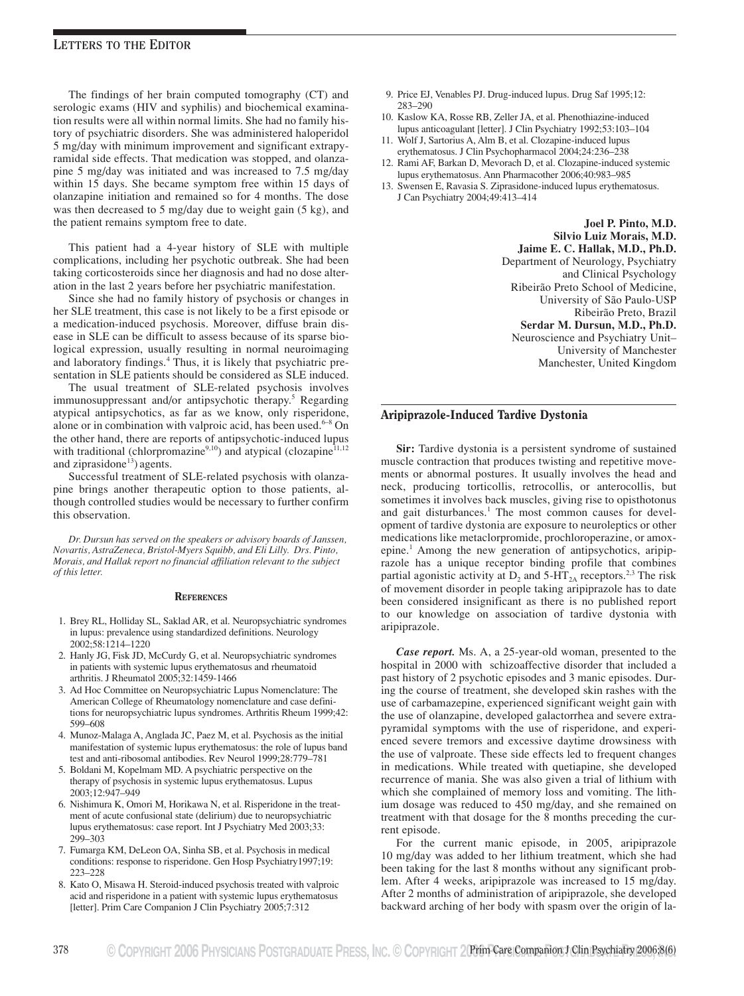The findings of her brain computed tomography (CT) and serologic exams (HIV and syphilis) and biochemical examination results were all within normal limits. She had no family history of psychiatric disorders. She was administered haloperidol 5 mg/day with minimum improvement and significant extrapyramidal side effects. That medication was stopped, and olanzapine 5 mg/day was initiated and was increased to 7.5 mg/day within 15 days. She became symptom free within 15 days of olanzapine initiation and remained so for 4 months. The dose was then decreased to 5 mg/day due to weight gain (5 kg), and the patient remains symptom free to date.

This patient had a 4-year history of SLE with multiple complications, including her psychotic outbreak. She had been taking corticosteroids since her diagnosis and had no dose alteration in the last 2 years before her psychiatric manifestation.

Since she had no family history of psychosis or changes in her SLE treatment, this case is not likely to be a first episode or a medication-induced psychosis. Moreover, diffuse brain disease in SLE can be difficult to assess because of its sparse biological expression, usually resulting in normal neuroimaging and laboratory findings.4 Thus, it is likely that psychiatric presentation in SLE patients should be considered as SLE induced.

The usual treatment of SLE-related psychosis involves immunosuppressant and/or antipsychotic therapy.<sup>5</sup> Regarding atypical antipsychotics, as far as we know, only risperidone, alone or in combination with valproic acid, has been used.<sup>6–8</sup> On the other hand, there are reports of antipsychotic-induced lupus with traditional (chlorpromazine<sup>9,10</sup>) and atypical (clozapine<sup>11,12</sup> and ziprasidone $^{13}$ ) agents.

Successful treatment of SLE-related psychosis with olanzapine brings another therapeutic option to those patients, although controlled studies would be necessary to further confirm this observation.

*Dr. Dursun has served on the speakers or advisory boards of Janssen, Novartis, AstraZeneca, Bristol-Myers Squibb, and Eli Lilly. Drs. Pinto, Morais, and Hallak report no financial affiliation relevant to the subject of this letter.*

#### **REFERENCES**

- 1. Brey RL, Holliday SL, Saklad AR, et al. Neuropsychiatric syndromes in lupus: prevalence using standardized definitions. Neurology 2002;58:1214–1220
- 2. Hanly JG, Fisk JD, McCurdy G, et al. Neuropsychiatric syndromes in patients with systemic lupus erythematosus and rheumatoid arthritis. J Rheumatol 2005;32:1459-1466
- 3. Ad Hoc Committee on Neuropsychiatric Lupus Nomenclature: The American College of Rheumatology nomenclature and case definitions for neuropsychiatric lupus syndromes. Arthritis Rheum 1999;42: 599–608
- 4. Munoz-Malaga A, Anglada JC, Paez M, et al. Psychosis as the initial manifestation of systemic lupus erythematosus: the role of lupus band test and anti-ribosomal antibodies. Rev Neurol 1999;28:779–781
- 5. Boldani M, Kopelmam MD. A psychiatric perspective on the therapy of psychosis in systemic lupus erythematosus. Lupus 2003;12:947–949
- 6. Nishimura K, Omori M, Horikawa N, et al. Risperidone in the treatment of acute confusional state (delirium) due to neuropsychiatric lupus erythematosus: case report. Int J Psychiatry Med 2003;33: 299–303
- 7. Fumarga KM, DeLeon OA, Sinha SB, et al. Psychosis in medical conditions: response to risperidone. Gen Hosp Psychiatry1997;19: 223–228
- 8. Kato O, Misawa H. Steroid-induced psychosis treated with valproic acid and risperidone in a patient with systemic lupus erythematosus [letter]. Prim Care Companion J Clin Psychiatry 2005;7:312
- 9. Price EJ, Venables PJ. Drug-induced lupus. Drug Saf 1995;12: 283–290
- 10. Kaslow KA, Rosse RB, Zeller JA, et al. Phenothiazine-induced lupus anticoagulant [letter]. J Clin Psychiatry 1992;53:103–104
- 11. Wolf J, Sartorius A, Alm B, et al. Clozapine-induced lupus erythematosus. J Clin Psychopharmacol 2004;24:236–238
- 12. Rami AF, Barkan D, Mevorach D, et al. Clozapine-induced systemic lupus erythematosus. Ann Pharmacother 2006;40:983–985
- 13. Swensen E, Ravasia S. Ziprasidone-induced lupus erythematosus. J Can Psychiatry 2004;49:413–414

**Joel P. Pinto, M.D. Silvio Luiz Morais, M.D. Jaime E. C. Hallak, M.D., Ph.D.** Department of Neurology, Psychiatry and Clinical Psychology Ribeirão Preto School of Medicine, University of São Paulo-USP Ribeirão Preto, Brazil **Serdar M. Dursun, M.D., Ph.D.** Neuroscience and Psychiatry Unit– University of Manchester Manchester, United Kingdom

### Aripiprazole-Induced Tardive Dystonia

**Sir:** Tardive dystonia is a persistent syndrome of sustained muscle contraction that produces twisting and repetitive movements or abnormal postures. It usually involves the head and neck, producing torticollis, retrocollis, or anterocollis, but sometimes it involves back muscles, giving rise to opisthotonus and gait disturbances.<sup>1</sup> The most common causes for development of tardive dystonia are exposure to neuroleptics or other medications like metaclorpromide, prochloroperazine, or amoxepine.<sup>1</sup> Among the new generation of antipsychotics, aripiprazole has a unique receptor binding profile that combines partial agonistic activity at  $D_2$  and 5-HT<sub>2A</sub> receptors.<sup>2,3</sup> The risk of movement disorder in people taking aripiprazole has to date been considered insignificant as there is no published report to our knowledge on association of tardive dystonia with aripiprazole.

*Case report.* Ms. A, a 25-year-old woman, presented to the hospital in 2000 with schizoaffective disorder that included a past history of 2 psychotic episodes and 3 manic episodes. During the course of treatment, she developed skin rashes with the use of carbamazepine, experienced significant weight gain with the use of olanzapine, developed galactorrhea and severe extrapyramidal symptoms with the use of risperidone, and experienced severe tremors and excessive daytime drowsiness with the use of valproate. These side effects led to frequent changes in medications. While treated with quetiapine, she developed recurrence of mania. She was also given a trial of lithium with which she complained of memory loss and vomiting. The lithium dosage was reduced to 450 mg/day, and she remained on treatment with that dosage for the 8 months preceding the current episode.

For the current manic episode, in 2005, aripiprazole 10 mg/day was added to her lithium treatment, which she had been taking for the last 8 months without any significant problem. After 4 weeks, aripiprazole was increased to 15 mg/day. After 2 months of administration of aripiprazole, she developed backward arching of her body with spasm over the origin of la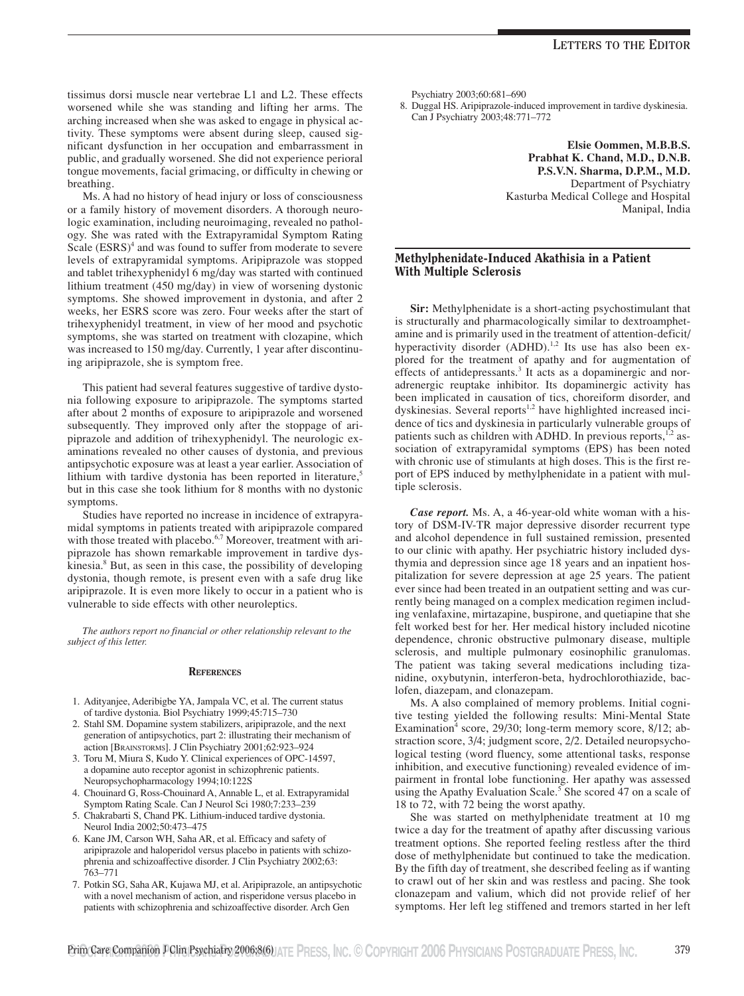tissimus dorsi muscle near vertebrae L1 and L2. These effects worsened while she was standing and lifting her arms. The arching increased when she was asked to engage in physical activity. These symptoms were absent during sleep, caused significant dysfunction in her occupation and embarrassment in public, and gradually worsened. She did not experience perioral tongue movements, facial grimacing, or difficulty in chewing or breathing.

Ms. A had no history of head injury or loss of consciousness or a family history of movement disorders. A thorough neurologic examination, including neuroimaging, revealed no pathology. She was rated with the Extrapyramidal Symptom Rating Scale  $(ESRS)^4$  and was found to suffer from moderate to severe levels of extrapyramidal symptoms. Aripiprazole was stopped and tablet trihexyphenidyl 6 mg/day was started with continued lithium treatment (450 mg/day) in view of worsening dystonic symptoms. She showed improvement in dystonia, and after 2 weeks, her ESRS score was zero. Four weeks after the start of trihexyphenidyl treatment, in view of her mood and psychotic symptoms, she was started on treatment with clozapine, which was increased to 150 mg/day. Currently, 1 year after discontinuing aripiprazole, she is symptom free.

This patient had several features suggestive of tardive dystonia following exposure to aripiprazole. The symptoms started after about 2 months of exposure to aripiprazole and worsened subsequently. They improved only after the stoppage of aripiprazole and addition of trihexyphenidyl. The neurologic examinations revealed no other causes of dystonia, and previous antipsychotic exposure was at least a year earlier. Association of lithium with tardive dystonia has been reported in literature,<sup>5</sup> but in this case she took lithium for 8 months with no dystonic symptoms.

Studies have reported no increase in incidence of extrapyramidal symptoms in patients treated with aripiprazole compared with those treated with placebo.<sup>6,7</sup> Moreover, treatment with aripiprazole has shown remarkable improvement in tardive dyskinesia.8 But, as seen in this case, the possibility of developing dystonia, though remote, is present even with a safe drug like aripiprazole. It is even more likely to occur in a patient who is vulnerable to side effects with other neuroleptics.

*The authors report no financial or other relationship relevant to the subject of this letter.*

#### **REFERENCES**

- 1. Adityanjee, Aderibigbe YA, Jampala VC, et al. The current status of tardive dystonia. Biol Psychiatry 1999;45:715–730
- 2. Stahl SM. Dopamine system stabilizers, aripiprazole, and the next generation of antipsychotics, part 2: illustrating their mechanism of action [BRAINSTORMS]. J Clin Psychiatry 2001;62:923–924
- 3. Toru M, Miura S, Kudo Y. Clinical experiences of OPC-14597, a dopamine auto receptor agonist in schizophrenic patients. Neuropsychopharmacology 1994;10:122S
- 4. Chouinard G, Ross-Chouinard A, Annable L, et al. Extrapyramidal Symptom Rating Scale. Can J Neurol Sci 1980;7:233–239
- 5. Chakrabarti S, Chand PK. Lithium-induced tardive dystonia. Neurol India 2002;50:473–475
- 6. Kane JM, Carson WH, Saha AR, et al. Efficacy and safety of aripiprazole and haloperidol versus placebo in patients with schizophrenia and schizoaffective disorder. J Clin Psychiatry 2002;63: 763–771
- 7. Potkin SG, Saha AR, Kujawa MJ, et al. Aripiprazole, an antipsychotic with a novel mechanism of action, and risperidone versus placebo in patients with schizophrenia and schizoaffective disorder. Arch Gen

Psychiatry 2003;60:681–690

8. Duggal HS. Aripiprazole-induced improvement in tardive dyskinesia. Can J Psychiatry 2003;48:771–772

> **Elsie Oommen, M.B.B.S. Prabhat K. Chand, M.D., D.N.B. P.S.V.N. Sharma, D.P.M., M.D.** Department of Psychiatry Kasturba Medical College and Hospital Manipal, India

## Methylphenidate-Induced Akathisia in a Patient With Multiple Sclerosis

**Sir:** Methylphenidate is a short-acting psychostimulant that is structurally and pharmacologically similar to dextroamphetamine and is primarily used in the treatment of attention-deficit/ hyperactivity disorder (ADHD).<sup>1,2</sup> Its use has also been explored for the treatment of apathy and for augmentation of effects of antidepressants.<sup>3</sup> It acts as a dopaminergic and noradrenergic reuptake inhibitor. Its dopaminergic activity has been implicated in causation of tics, choreiform disorder, and dyskinesias. Several reports<sup>1,2</sup> have highlighted increased incidence of tics and dyskinesia in particularly vulnerable groups of patients such as children with ADHD. In previous reports, $1,2$  association of extrapyramidal symptoms (EPS) has been noted with chronic use of stimulants at high doses. This is the first report of EPS induced by methylphenidate in a patient with multiple sclerosis.

*Case report.* Ms. A, a 46-year-old white woman with a history of DSM-IV-TR major depressive disorder recurrent type and alcohol dependence in full sustained remission, presented to our clinic with apathy. Her psychiatric history included dysthymia and depression since age 18 years and an inpatient hospitalization for severe depression at age 25 years. The patient ever since had been treated in an outpatient setting and was currently being managed on a complex medication regimen including venlafaxine, mirtazapine, buspirone, and quetiapine that she felt worked best for her. Her medical history included nicotine dependence, chronic obstructive pulmonary disease, multiple sclerosis, and multiple pulmonary eosinophilic granulomas. The patient was taking several medications including tizanidine, oxybutynin, interferon-beta, hydrochlorothiazide, baclofen, diazepam, and clonazepam.

Ms. A also complained of memory problems. Initial cognitive testing yielded the following results: Mini-Mental State Examination<sup>4</sup> score, 29/30; long-term memory score,  $8/12$ ; abstraction score, 3/4; judgment score, 2/2. Detailed neuropsychological testing (word fluency, some attentional tasks, response inhibition, and executive functioning) revealed evidence of impairment in frontal lobe functioning. Her apathy was assessed using the Apathy Evaluation Scale.<sup>5</sup> She scored 47 on a scale of 18 to 72, with 72 being the worst apathy.

She was started on methylphenidate treatment at 10 mg twice a day for the treatment of apathy after discussing various treatment options. She reported feeling restless after the third dose of methylphenidate but continued to take the medication. By the fifth day of treatment, she described feeling as if wanting to crawl out of her skin and was restless and pacing. She took clonazepam and valium, which did not provide relief of her symptoms. Her left leg stiffened and tremors started in her left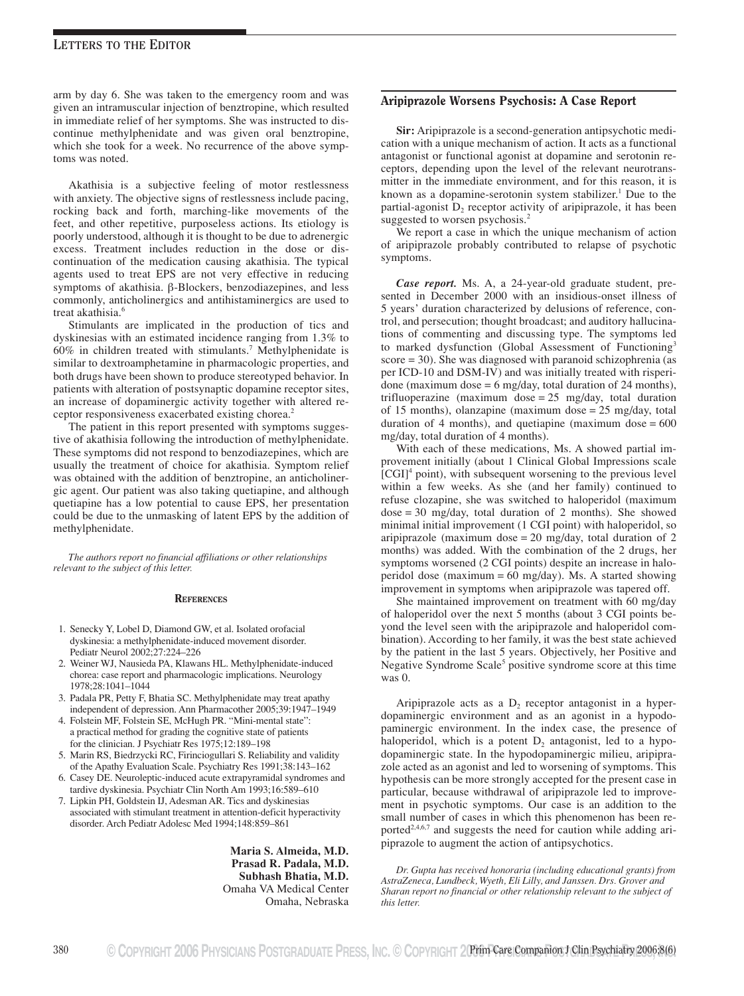arm by day 6. She was taken to the emergency room and was given an intramuscular injection of benztropine, which resulted in immediate relief of her symptoms. She was instructed to discontinue methylphenidate and was given oral benztropine, which she took for a week. No recurrence of the above symptoms was noted.

Akathisia is a subjective feeling of motor restlessness with anxiety. The objective signs of restlessness include pacing, rocking back and forth, marching-like movements of the feet, and other repetitive, purposeless actions. Its etiology is poorly understood, although it is thought to be due to adrenergic excess. Treatment includes reduction in the dose or discontinuation of the medication causing akathisia. The typical agents used to treat EPS are not very effective in reducing symptoms of akathisia. β-Blockers, benzodiazepines, and less commonly, anticholinergics and antihistaminergics are used to treat akathisia.<sup>6</sup>

Stimulants are implicated in the production of tics and dyskinesias with an estimated incidence ranging from 1.3% to  $60\%$  in children treated with stimulants.<sup>7</sup> Methylphenidate is similar to dextroamphetamine in pharmacologic properties, and both drugs have been shown to produce stereotyped behavior. In patients with alteration of postsynaptic dopamine receptor sites, an increase of dopaminergic activity together with altered receptor responsiveness exacerbated existing chorea.<sup>2</sup>

The patient in this report presented with symptoms suggestive of akathisia following the introduction of methylphenidate. These symptoms did not respond to benzodiazepines, which are usually the treatment of choice for akathisia. Symptom relief was obtained with the addition of benztropine, an anticholinergic agent. Our patient was also taking quetiapine, and although quetiapine has a low potential to cause EPS, her presentation could be due to the unmasking of latent EPS by the addition of methylphenidate.

*The authors report no financial affiliations or other relationships relevant to the subject of this letter.*

#### **REFERENCES**

- 1. Senecky Y, Lobel D, Diamond GW, et al. Isolated orofacial dyskinesia: a methylphenidate-induced movement disorder. Pediatr Neurol 2002;27:224–226
- 2. Weiner WJ, Nausieda PA, Klawans HL. Methylphenidate-induced chorea: case report and pharmacologic implications. Neurology 1978;28:1041–1044
- 3. Padala PR, Petty F, Bhatia SC. Methylphenidate may treat apathy independent of depression. Ann Pharmacother 2005;39:1947–1949
- 4. Folstein MF, Folstein SE, McHugh PR. "Mini-mental state": a practical method for grading the cognitive state of patients for the clinician. J Psychiatr Res 1975;12:189–198
- 5. Marin RS, Biedrzycki RC, Firinciogullari S. Reliability and validity of the Apathy Evaluation Scale. Psychiatry Res 1991;38:143–162
- 6. Casey DE. Neuroleptic-induced acute extrapyramidal syndromes and tardive dyskinesia. Psychiatr Clin North Am 1993;16:589–610
- 7. Lipkin PH, Goldstein IJ, Adesman AR. Tics and dyskinesias associated with stimulant treatment in attention-deficit hyperactivity disorder. Arch Pediatr Adolesc Med 1994;148:859–861

**Maria S. Almeida, M.D. Prasad R. Padala, M.D. Subhash Bhatia, M.D.** Omaha VA Medical Center Omaha, Nebraska

## Aripiprazole Worsens Psychosis: A Case Report

**Sir:** Aripiprazole is a second-generation antipsychotic medication with a unique mechanism of action. It acts as a functional antagonist or functional agonist at dopamine and serotonin receptors, depending upon the level of the relevant neurotransmitter in the immediate environment, and for this reason, it is known as a dopamine-serotonin system stabilizer.<sup>1</sup> Due to the partial-agonist  $D_2$  receptor activity of aripiprazole, it has been suggested to worsen psychosis.<sup>2</sup>

We report a case in which the unique mechanism of action of aripiprazole probably contributed to relapse of psychotic symptoms.

*Case report.* Ms. A, a 24-year-old graduate student, presented in December 2000 with an insidious-onset illness of 5 years' duration characterized by delusions of reference, control, and persecution; thought broadcast; and auditory hallucinations of commenting and discussing type. The symptoms led to marked dysfunction (Global Assessment of Functioning<sup>3</sup> score = 30). She was diagnosed with paranoid schizophrenia (as per ICD-10 and DSM-IV) and was initially treated with risperidone (maximum dose  $= 6$  mg/day, total duration of 24 months), trifluoperazine (maximum dose = 25 mg/day, total duration of 15 months), olanzapine (maximum dose = 25 mg/day, total duration of 4 months), and quetiapine (maximum dose  $= 600$ mg/day, total duration of 4 months).

With each of these medications, Ms. A showed partial improvement initially (about 1 Clinical Global Impressions scale  $[CGI]<sup>4</sup>$  point), with subsequent worsening to the previous level within a few weeks. As she (and her family) continued to refuse clozapine, she was switched to haloperidol (maximum dose = 30 mg/day, total duration of 2 months). She showed minimal initial improvement (1 CGI point) with haloperidol, so aripiprazole (maximum dose  $= 20$  mg/day, total duration of 2 months) was added. With the combination of the 2 drugs, her symptoms worsened (2 CGI points) despite an increase in haloperidol dose (maximum = 60 mg/day). Ms. A started showing improvement in symptoms when aripiprazole was tapered off.

She maintained improvement on treatment with 60 mg/day of haloperidol over the next 5 months (about 3 CGI points beyond the level seen with the aripiprazole and haloperidol combination). According to her family, it was the best state achieved by the patient in the last 5 years. Objectively, her Positive and Negative Syndrome Scale<sup>5</sup> positive syndrome score at this time was 0.

Aripiprazole acts as a  $D<sub>2</sub>$  receptor antagonist in a hyperdopaminergic environment and as an agonist in a hypodopaminergic environment. In the index case, the presence of haloperidol, which is a potent  $D_2$  antagonist, led to a hypodopaminergic state. In the hypodopaminergic milieu, aripiprazole acted as an agonist and led to worsening of symptoms. This hypothesis can be more strongly accepted for the present case in particular, because withdrawal of aripiprazole led to improvement in psychotic symptoms. Our case is an addition to the small number of cases in which this phenomenon has been reported<sup>2,4,6,7</sup> and suggests the need for caution while adding aripiprazole to augment the action of antipsychotics.

*Dr. Gupta has received honoraria (including educational grants) from AstraZeneca, Lundbeck, Wyeth, Eli Lilly, and Janssen. Drs. Grover and Sharan report no financial or other relationship relevant to the subject of this letter.*